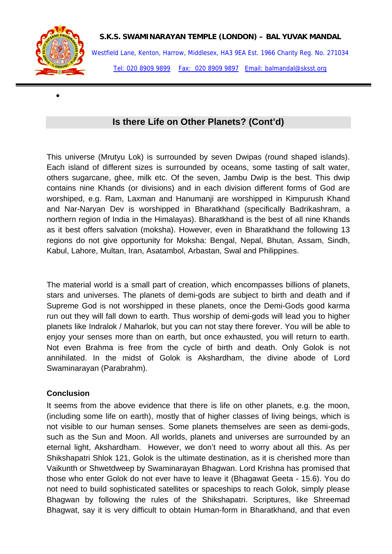

•

Westfield Lane, Kenton, Harrow, Middlesex, HA3 9EA Est. 1966 Charity Reg. No. 271034 Tel: 020 8909 9899 Fax: 020 8909 9897 Email: balmandal@sksst.org

## **Is there Life on Other Planets? (Cont'd)**

This universe (Mrutyu Lok) is surrounded by seven Dwipas (round shaped islands). Each island of different sizes is surrounded by oceans, some tasting of salt water, others sugarcane, ghee, milk etc. Of the seven, Jambu Dwip is the best. This dwip contains nine Khands (or divisions) and in each division different forms of God are worshiped, e.g. Ram, Laxman and Hanumanji are worshipped in Kimpurush Khand and Nar-Naryan Dev is worshipped in Bharatkhand (specifically Badrikashram, a northern region of India in the Himalayas). Bharatkhand is the best of all nine Khands as it best offers salvation (moksha). However, even in Bharatkhand the following 13 regions do not give opportunity for Moksha: Bengal, Nepal, Bhutan, Assam, Sindh, Kabul, Lahore, Multan, Iran, Asatambol, Arbastan, Swal and Philippines.

The material world is a small part of creation, which encompasses billions of planets, stars and universes. The planets of demi-gods are subject to birth and death and if Supreme God is not worshipped in these planets, once the Demi-Gods good karma run out they will fall down to earth. Thus worship of demi-gods will lead you to higher planets like Indralok / Maharlok, but you can not stay there forever. You will be able to enjoy your senses more than on earth, but once exhausted, you will return to earth. Not even Brahma is free from the cycle of birth and death. Only Golok is not annihilated. In the midst of Golok is Akshardham, the divine abode of Lord Swaminarayan (Parabrahm).

## **Conclusion**

It seems from the above evidence that there is life on other planets, e.g. the moon, (including some life on earth), mostly that of higher classes of living beings, which is not visible to our human senses. Some planets themselves are seen as demi-gods, such as the Sun and Moon. All worlds, planets and universes are surrounded by an eternal light, Akshardham. However, we don't need to worry about all this. As per Shikshapatri Shlok 121, Golok is the ultimate destination, as it is cherished more than Vaikunth or Shwetdweep by Swaminarayan Bhagwan. Lord Krishna has promised that those who enter Golok do not ever have to leave it (Bhagawat Geeta - 15.6). You do not need to build sophisticated satellites or spaceships to reach Golok, simply please Bhagwan by following the rules of the Shikshapatri. Scriptures, like Shreemad Bhagwat, say it is very difficult to obtain Human-form in Bharatkhand, and that even